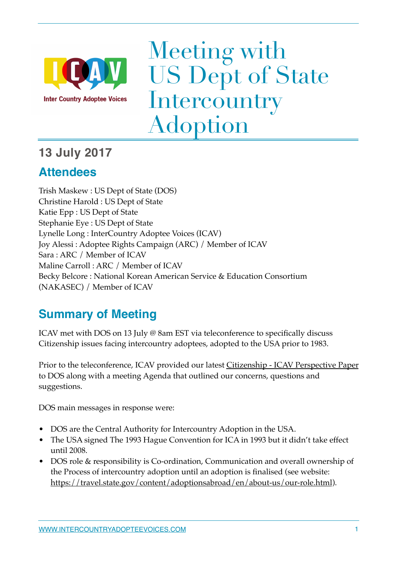

Meeting with US Dept of State **Intercountry** Adoption

### **13 July 2017**

### **Attendees**

Trish Maskew : US Dept of State (DOS) Christine Harold : US Dept of State Katie Epp : US Dept of State Stephanie Eye : US Dept of State Lynelle Long : InterCountry Adoptee Voices (ICAV) Joy Alessi : Adoptee Rights Campaign (ARC) / Member of ICAV Sara : ARC / Member of ICAV Maline Carroll : ARC / Member of ICAV Becky Belcore : National Korean American Service & Education Consortium (NAKASEC) / Member of ICAV

### **Summary of Meeting**

ICAV met with DOS on 13 July @ 8am EST via teleconference to specifically discuss Citizenship issues facing intercountry adoptees, adopted to the USA prior to 1983.

Prior to the teleconference, ICAV provided our latest **Citizenship - ICAV Perspective Paper** to DOS along with a meeting Agenda that outlined our concerns, questions and suggestions.

DOS main messages in response were:

- DOS are the Central Authority for Intercountry Adoption in the USA.
- The USA signed The 1993 Hague Convention for ICA in 1993 but it didn't take effect until 2008.
- DOS role & responsibility is Co-ordination, Communication and overall ownership of the Process of intercountry adoption until an adoption is finalised (see website: [https://travel.state.gov/content/adoptionsabroad/en/about-us/our-role.html\)](https://travel.state.gov/content/adoptionsabroad/en/about-us/our-role.html).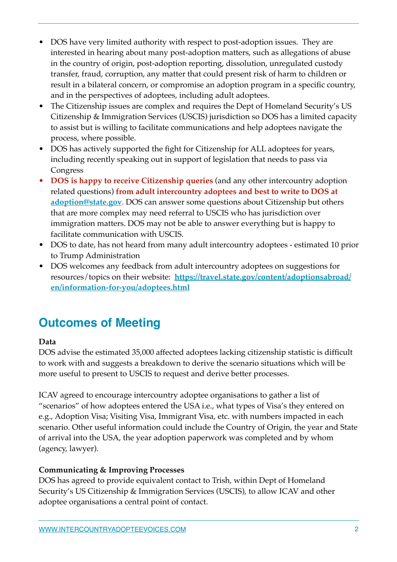- DOS have very limited authority with respect to post-adoption issues. They are interested in hearing about many post-adoption matters, such as allegations of abuse in the country of origin, post-adoption reporting, dissolution, unregulated custody transfer, fraud, corruption, any matter that could present risk of harm to children or result in a bilateral concern, or compromise an adoption program in a specific country, and in the perspectives of adoptees, including adult adoptees.
- The Citizenship issues are complex and requires the Dept of Homeland Security's US Citizenship & Immigration Services (USCIS) jurisdiction so DOS has a limited capacity to assist but is willing to facilitate communications and help adoptees navigate the process, where possible.
- DOS has actively supported the fight for Citizenship for ALL adoptees for years, including recently speaking out in support of legislation that needs to pass via Congress
- **DOS is happy to receive Citizenship queries** (and any other intercountry adoption related questions) **from adult intercountry adoptees and best to write to DOS at [adoption@state.gov](mailto:adoption@state.gov)**. DOS can answer some questions about Citizenship but others that are more complex may need referral to USCIS who has jurisdiction over immigration matters. DOS may not be able to answer everything but is happy to facilitate communication with USCIS.
- DOS to date, has not heard from many adult intercountry adoptees estimated 10 prior to Trump Administration
- DOS welcomes any feedback from adult intercountry adoptees on suggestions for resources/topics on their website: **[https://travel.state.gov/content/adoptionsabroad/](https://travel.state.gov/content/adoptionsabroad/en/information-for-you/adoptees.html) [en/information-for-you/adoptees.html](https://travel.state.gov/content/adoptionsabroad/en/information-for-you/adoptees.html)**

### **Outcomes of Meeting**

### **Data**

DOS advise the estimated 35,000 affected adoptees lacking citizenship statistic is difficult to work with and suggests a breakdown to derive the scenario situations which will be more useful to present to USCIS to request and derive better processes.

ICAV agreed to encourage intercountry adoptee organisations to gather a list of "scenarios" of how adoptees entered the USA i.e., what types of Visa's they entered on e.g., Adoption Visa; Visiting Visa, Immigrant Visa, etc. with numbers impacted in each scenario. Other useful information could include the Country of Origin, the year and State of arrival into the USA, the year adoption paperwork was completed and by whom (agency, lawyer).

#### **Communicating & Improving Processes**

DOS has agreed to provide equivalent contact to Trish, within Dept of Homeland Security's US Citizenship & Immigration Services (USCIS), to allow ICAV and other adoptee organisations a central point of contact.